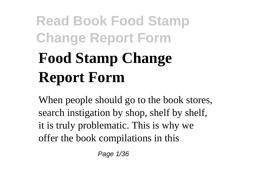# **Read Book Food Stamp Change Report Form Food Stamp Change Report Form**

When people should go to the book stores, search instigation by shop, shelf by shelf, it is truly problematic. This is why we offer the book compilations in this

Page 1/36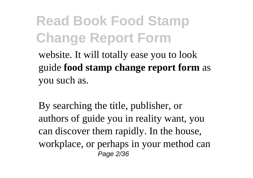website. It will totally ease you to look guide **food stamp change report form** as you such as.

By searching the title, publisher, or authors of guide you in reality want, you can discover them rapidly. In the house, workplace, or perhaps in your method can Page 2/36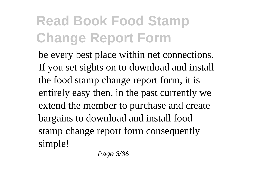be every best place within net connections. If you set sights on to download and install the food stamp change report form, it is entirely easy then, in the past currently we extend the member to purchase and create bargains to download and install food stamp change report form consequently simple!

Page 3/36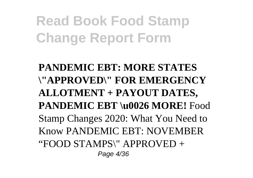**PANDEMIC EBT: MORE STATES \"APPROVED\" FOR EMERGENCY ALLOTMENT + PAYOUT DATES, PANDEMIC EBT \u0026 MORE!** Food Stamp Changes 2020: What You Need to Know PANDEMIC EBT: NOVEMBER "FOOD STAMPS\" APPROVED + Page 4/36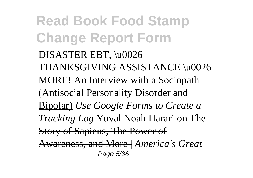**Read Book Food Stamp Change Report Form** DISASTER EBT, \u0026 THANKSGIVING ASSISTANCE \u0026 MORE! An Interview with a Sociopath (Antisocial Personality Disorder and Bipolar) *Use Google Forms to Create a Tracking Log* Yuval Noah Harari on The Story of Sapiens, The Power of Awareness, and More | *America's Great* Page 5/36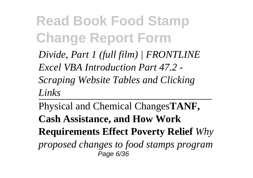*Divide, Part 1 (full film) | FRONTLINE Excel VBA Introduction Part 47.2 - Scraping Website Tables and Clicking Links*

Physical and Chemical Changes**TANF, Cash Assistance, and How Work Requirements Effect Poverty Relief** *Why proposed changes to food stamps program* Page 6/36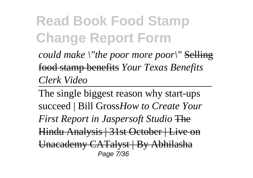*could make \"the poor more poor\"* Selling food stamp benefits *Your Texas Benefits Clerk Video*

The single biggest reason why start-ups succeed | Bill Gross*How to Create Your First Report in Jaspersoft Studio* The Hindu Analysis | 31st October | Live on Unacademy CATalyst | By Abhilasha Page 7/36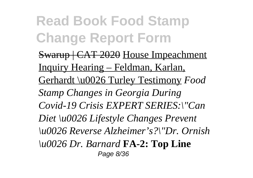Swarup | CAT 2020 House Impeachment Inquiry Hearing – Feldman, Karlan, Gerhardt \u0026 Turley Testimony *Food Stamp Changes in Georgia During Covid-19 Crisis EXPERT SERIES:\"Can Diet \u0026 Lifestyle Changes Prevent \u0026 Reverse Alzheimer's?\"Dr. Ornish \u0026 Dr. Barnard* **FA-2: Top Line** Page 8/36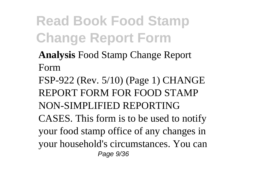**Analysis** Food Stamp Change Report Form

FSP-922 (Rev. 5/10) (Page 1) CHANGE REPORT FORM FOR FOOD STAMP NON-SIMPLIFIED REPORTING CASES. This form is to be used to notify your food stamp office of any changes in your household's circumstances. You can Page 9/36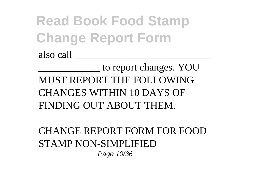also call \_\_\_\_\_\_\_\_\_\_\_\_\_\_\_\_\_\_\_\_\_\_\_\_\_\_\_

\_\_\_\_\_\_\_\_\_\_\_\_ to report changes. YOU MUST REPORT THE FOLLOWING CHANGES WITHIN 10 DAYS OF FINDING OUT ABOUT THEM.

CHANGE REPORT FORM FOR FOOD STAMP NON-SIMPLIFIED Page 10/36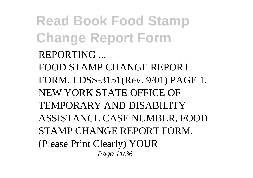**Read Book Food Stamp Change Report Form** REPORTING ... FOOD STAMP CHANGE REPORT FORM. LDSS-3151(Rev. 9/01) PAGE 1. NEW YORK STATE OFFICE OF TEMPORARY AND DISABILITY ASSISTANCE CASE NUMBER. FOOD STAMP CHANGE REPORT FORM. (Please Print Clearly) YOUR Page 11/36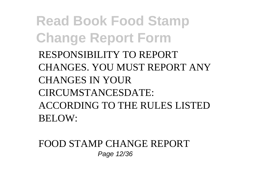**Read Book Food Stamp Change Report Form** RESPONSIBILITY TO REPORT CHANGES. YOU MUST REPORT ANY CHANGES IN YOUR CIRCUMSTANCESDATE: ACCORDING TO THE RULES LISTED BELOW:

FOOD STAMP CHANGE REPORT Page 12/36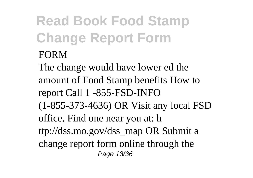#### FORM

The change would have lower ed the amount of Food Stamp benefits How to report Call 1 -855-FSD-INFO (1-855-373-4636) OR Visit any local FSD office. Find one near you at: h ttp://dss.mo.gov/dss\_map OR Submit a change report form online through the Page 13/36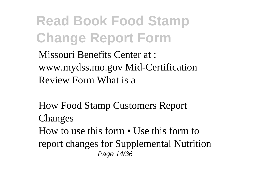Missouri Benefits Center at : www.mydss.mo.gov Mid-Certification Review Form What is a

How Food Stamp Customers Report Changes How to use this form • Use this form to report changes for Supplemental Nutrition Page 14/36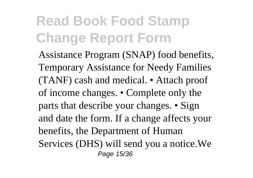Assistance Program (SNAP) food benefits, Temporary Assistance for Needy Families (TANF) cash and medical. • Attach proof of income changes. • Complete only the parts that describe your changes. • Sign and date the form. If a change affects your benefits, the Department of Human Services (DHS) will send you a notice.We Page 15/36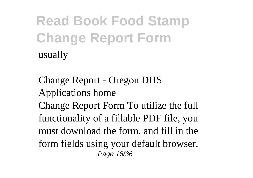Change Report - Oregon DHS Applications home Change Report Form To utilize the full functionality of a fillable PDF file, you must download the form, and fill in the form fields using your default browser. Page 16/36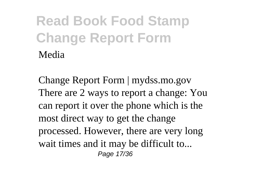Change Report Form | mydss.mo.gov There are 2 ways to report a change: You can report it over the phone which is the most direct way to get the change processed. However, there are very long wait times and it may be difficult to... Page 17/36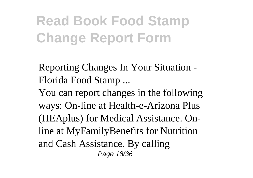Reporting Changes In Your Situation - Florida Food Stamp ...

You can report changes in the following ways: On-line at Health-e-Arizona Plus (HEAplus) for Medical Assistance. Online at MyFamilyBenefits for Nutrition and Cash Assistance. By calling Page 18/36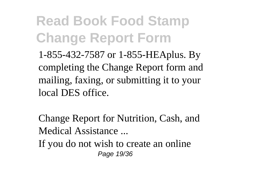**Read Book Food Stamp Change Report Form** 1-855-432-7587 or 1-855-HEAplus. By

completing the Change Report form and mailing, faxing, or submitting it to your local DES office.

Change Report for Nutrition, Cash, and Medical Assistance ...

If you do not wish to create an online Page 19/36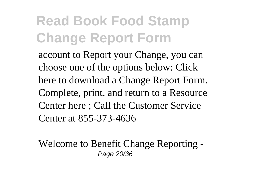account to Report your Change, you can choose one of the options below: Click here to download a Change Report Form. Complete, print, and return to a Resource Center here ; Call the Customer Service Center at 855-373-4636

Welcome to Benefit Change Reporting - Page 20/36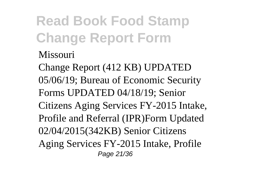#### Missouri

Change Report (412 KB) UPDATED 05/06/19; Bureau of Economic Security Forms UPDATED 04/18/19; Senior Citizens Aging Services FY-2015 Intake, Profile and Referral (IPR)Form Updated 02/04/2015(342KB) Senior Citizens Aging Services FY-2015 Intake, Profile Page 21/36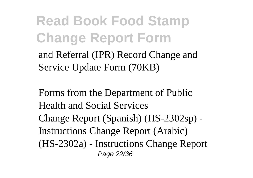and Referral (IPR) Record Change and Service Update Form (70KB)

Forms from the Department of Public Health and Social Services Change Report (Spanish) (HS-2302sp) - Instructions Change Report (Arabic) (HS-2302a) - Instructions Change Report Page 22/36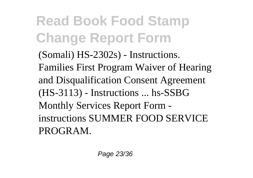(Somali) HS-2302s) - Instructions. Families First Program Waiver of Hearing and Disqualification Consent Agreement (HS-3113) - Instructions ... hs-SSBG Monthly Services Report Form instructions SUMMER FOOD SERVICE PROGRAM.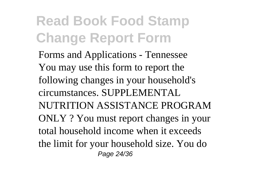Forms and Applications - Tennessee You may use this form to report the following changes in your household's circumstances. SUPPLEMENTAL NUTRITION ASSISTANCE PROGRAM ONLY ? You must report changes in your total household income when it exceeds the limit for your household size. You do Page 24/36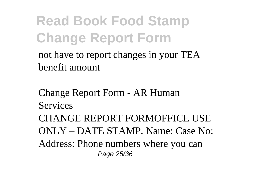not have to report changes in your TEA benefit amount

Change Report Form - AR Human Services CHANGE REPORT FORMOFFICE USE ONLY – DATE STAMP. Name: Case No: Address: Phone numbers where you can Page 25/36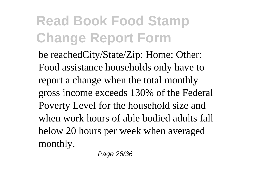be reachedCity/State/Zip: Home: Other: Food assistance households only have to report a change when the total monthly gross income exceeds 130% of the Federal Poverty Level for the household size and when work hours of able bodied adults fall below 20 hours per week when averaged monthly.

Page 26/36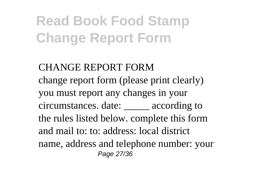CHANGE REPORT FORM change report form (please print clearly) you must report any changes in your circumstances. date: \_\_\_\_\_ according to the rules listed below. complete this form and mail to: to: address: local district name, address and telephone number: your Page 27/36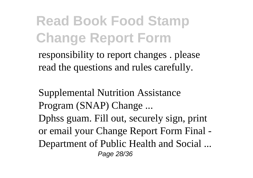responsibility to report changes . please read the questions and rules carefully.

Supplemental Nutrition Assistance Program (SNAP) Change ... Dphss guam. Fill out, securely sign, print or email your Change Report Form Final - Department of Public Health and Social ... Page 28/36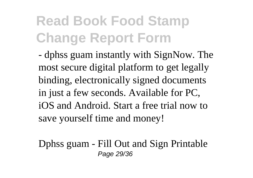- dphss guam instantly with SignNow. The most secure digital platform to get legally binding, electronically signed documents in just a few seconds. Available for PC, iOS and Android. Start a free trial now to save yourself time and money!

Dphss guam - Fill Out and Sign Printable Page 29/36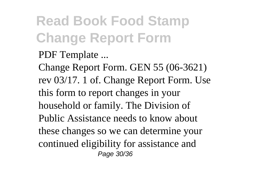PDF Template ...

Change Report Form. GEN 55 (06-3621) rev 03/17. 1 of. Change Report Form. Use this form to report changes in your household or family. The Division of Public Assistance needs to know about these changes so we can determine your continued eligibility for assistance and Page 30/36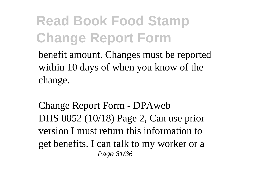benefit amount. Changes must be reported within 10 days of when you know of the change.

Change Report Form - DPAweb DHS 0852 (10/18) Page 2, Can use prior version I must return this information to get benefits. I can talk to my worker or a Page 31/36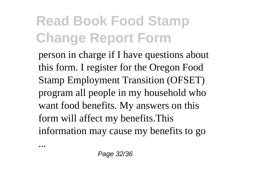person in charge if I have questions about this form. I register for the Oregon Food Stamp Employment Transition (OFSET) program all people in my household who want food benefits. My answers on this form will affect my benefits.This information may cause my benefits to go

...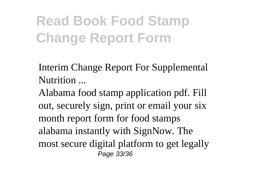Interim Change Report For Supplemental Nutrition ...

Alabama food stamp application pdf. Fill out, securely sign, print or email your six month report form for food stamps alabama instantly with SignNow. The most secure digital platform to get legally Page 33/36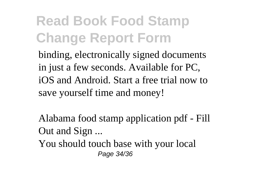binding, electronically signed documents in just a few seconds. Available for PC, iOS and Android. Start a free trial now to save yourself time and money!

Alabama food stamp application pdf - Fill Out and Sign ...

You should touch base with your local Page 34/36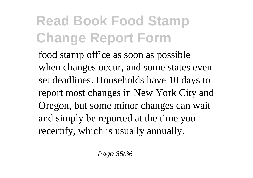food stamp office as soon as possible when changes occur, and some states even set deadlines. Households have 10 days to report most changes in New York City and Oregon, but some minor changes can wait and simply be reported at the time you recertify, which is usually annually.